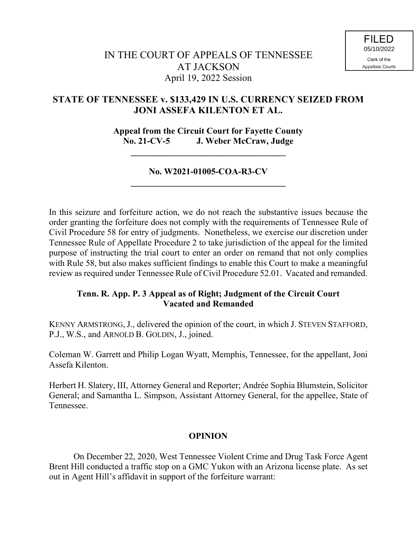## **STATE OF TENNESSEE v. \$133,429 IN U.S. CURRENCY SEIZED FROM JONI ASSEFA KILENTON ET AL.**

**Appeal from the Circuit Court for Fayette County No. 21-CV-5 J. Weber McCraw, Judge**

## **No. W2021-01005-COA-R3-CV \_\_\_\_\_\_\_\_\_\_\_\_\_\_\_\_\_\_\_\_\_\_\_\_\_\_\_\_\_\_\_\_\_\_\_**

**\_\_\_\_\_\_\_\_\_\_\_\_\_\_\_\_\_\_\_\_\_\_\_\_\_\_\_\_\_\_\_\_\_\_\_**

In this seizure and forfeiture action, we do not reach the substantive issues because the order granting the forfeiture does not comply with the requirements of Tennessee Rule of Civil Procedure 58 for entry of judgments. Nonetheless, we exercise our discretion under Tennessee Rule of Appellate Procedure 2 to take jurisdiction of the appeal for the limited purpose of instructing the trial court to enter an order on remand that not only complies with Rule 58, but also makes sufficient findings to enable this Court to make a meaningful review as required under Tennessee Rule of Civil Procedure 52.01. Vacated and remanded.

## **Tenn. R. App. P. 3 Appeal as of Right; Judgment of the Circuit Court Vacated and Remanded**

KENNY ARMSTRONG,J., delivered the opinion of the court, in which J. STEVEN STAFFORD, P.J., W.S., and ARNOLD B. GOLDIN, J., joined.

Coleman W. Garrett and Philip Logan Wyatt, Memphis, Tennessee, for the appellant, Joni Assefa Kilenton.

Herbert H. Slatery, III, Attorney General and Reporter; Andrée Sophia Blumstein, Solicitor General; and Samantha L. Simpson, Assistant Attorney General, for the appellee, State of Tennessee.

## **OPINION**

On December 22, 2020, West Tennessee Violent Crime and Drug Task Force Agent Brent Hill conducted a traffic stop on a GMC Yukon with an Arizona license plate. As set out in Agent Hill's affidavit in support of the forfeiture warrant: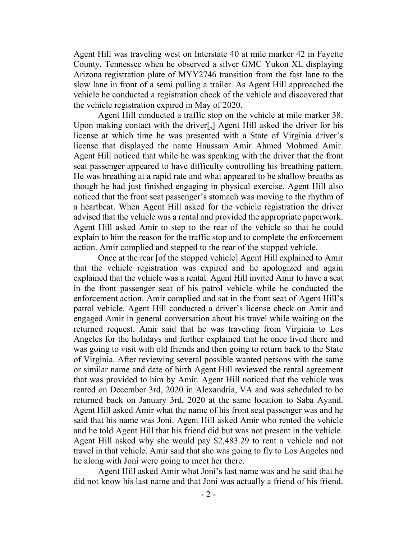Agent Hill was traveling west on Interstate 40 at mile marker 42 in Fayette County, Tennessee when he observed a silver GMC Yukon XL displaying Arizona registration plate of MYY2746 transition from the fast lane to the slow lane in front of a semi pulling a trailer. As Agent Hill approached the vehicle he conducted a registration check of the vehicle and discovered that the vehicle registration expired in May of 2020.

Agent Hill conducted a traffic stop on the vehicle at mile marker 38. Upon making contact with the driver[,] Agent Hill asked the driver for his license at which time he was presented with a State of Virginia driver's license that displayed the name Haussam Amir Ahmed Mohmed Amir. Agent Hill noticed that while he was speaking with the driver that the front seat passenger appeared to have difficulty controlling his breathing pattern. He was breathing at a rapid rate and what appeared to be shallow breaths as though he had just finished engaging in physical exercise. Agent Hill also noticed that the front seat passenger's stomach was moving to the rhythm of a heartbeat. When Agent Hill asked for the vehicle registration the driver advised that the vehicle was a rental and provided the appropriate paperwork. Agent Hill asked Amir to step to the rear of the vehicle so that he could explain to him the reason for the traffic stop and to complete the enforcement action. Amir complied and stepped to the rear of the stopped vehicle.

Once at the rear [of the stopped vehicle] Agent Hill explained to Amir that the vehicle registration was expired and he apologized and again explained that the vehicle was a rental. Agent Hill invited Amir to have a seat in the front passenger seat of his patrol vehicle while he conducted the enforcement action. Amir complied and sat in the front seat of Agent Hill's patrol vehicle. Agent Hill conducted a driver's license check on Amir and engaged Amir in general conversation about his travel while waiting on the returned request. Amir said that he was traveling from Virginia to Los Angeles for the holidays and further explained that he once lived there and was going to visit with old friends and then going to return back to the State of Virginia. After reviewing several possible wanted persons with the same or similar name and date of birth Agent Hill reviewed the rental agreement that was provided to him by Amir. Agent Hill noticed that the vehicle was rented on December 3rd, 2020 in Alexandria, VA and was scheduled to be returned back on January 3rd, 2020 at the same location to Saba Ayand. Agent Hill asked Amir what the name of his front seat passenger was and he said that his name was Joni. Agent Hill asked Amir who rented the vehicle and he told Agent Hill that his friend did but was not present in the vehicle. Agent Hill asked why she would pay \$2,483.29 to rent a vehicle and not travel in that vehicle. Amir said that she was going to fly to Los Angeles and he along with Joni were going to meet her there.

Agent Hill asked Amir what Joni's last name was and he said that he did not know his last name and that Joni was actually a friend of his friend.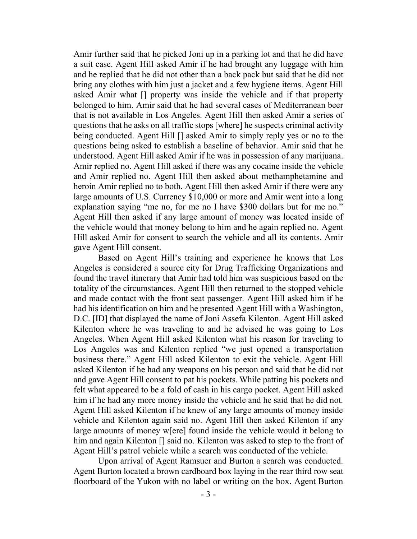Amir further said that he picked Joni up in a parking lot and that he did have a suit case. Agent Hill asked Amir if he had brought any luggage with him and he replied that he did not other than a back pack but said that he did not bring any clothes with him just a jacket and a few hygiene items. Agent Hill asked Amir what [] property was inside the vehicle and if that property belonged to him. Amir said that he had several cases of Mediterranean beer that is not available in Los Angeles. Agent Hill then asked Amir a series of questions that he asks on all traffic stops [where] he suspects criminal activity being conducted. Agent Hill [] asked Amir to simply reply yes or no to the questions being asked to establish a baseline of behavior. Amir said that he understood. Agent Hill asked Amir if he was in possession of any marijuana. Amir replied no. Agent Hill asked if there was any cocaine inside the vehicle and Amir replied no. Agent Hill then asked about methamphetamine and heroin Amir replied no to both. Agent Hill then asked Amir if there were any large amounts of U.S. Currency \$10,000 or more and Amir went into a long explanation saying "me no, for me no I have \$300 dollars but for me no." Agent Hill then asked if any large amount of money was located inside of the vehicle would that money belong to him and he again replied no. Agent Hill asked Amir for consent to search the vehicle and all its contents. Amir gave Agent Hill consent.

Based on Agent Hill's training and experience he knows that Los Angeles is considered a source city for Drug Trafficking Organizations and found the travel itinerary that Amir had told him was suspicious based on the totality of the circumstances. Agent Hill then returned to the stopped vehicle and made contact with the front seat passenger. Agent Hill asked him if he had his identification on him and he presented Agent Hill with a Washington, D.C. [ID] that displayed the name of Joni Assefa Kilenton. Agent Hill asked Kilenton where he was traveling to and he advised he was going to Los Angeles. When Agent Hill asked Kilenton what his reason for traveling to Los Angeles was and Kilenton replied "we just opened a transportation business there." Agent Hill asked Kilenton to exit the vehicle. Agent Hill asked Kilenton if he had any weapons on his person and said that he did not and gave Agent Hill consent to pat his pockets. While patting his pockets and felt what appeared to be a fold of cash in his cargo pocket. Agent Hill asked him if he had any more money inside the vehicle and he said that he did not. Agent Hill asked Kilenton if he knew of any large amounts of money inside vehicle and Kilenton again said no. Agent Hill then asked Kilenton if any large amounts of money w[ere] found inside the vehicle would it belong to him and again Kilenton [] said no. Kilenton was asked to step to the front of Agent Hill's patrol vehicle while a search was conducted of the vehicle.

Upon arrival of Agent Ramsuer and Burton a search was conducted. Agent Burton located a brown cardboard box laying in the rear third row seat floorboard of the Yukon with no label or writing on the box. Agent Burton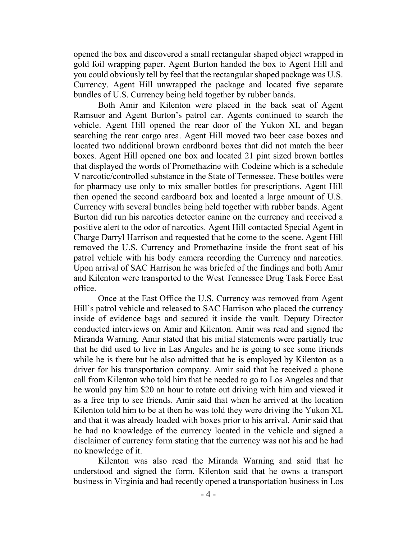opened the box and discovered a small rectangular shaped object wrapped in gold foil wrapping paper. Agent Burton handed the box to Agent Hill and you could obviously tell by feel that the rectangular shaped package was U.S. Currency. Agent Hill unwrapped the package and located five separate bundles of U.S. Currency being held together by rubber bands.

Both Amir and Kilenton were placed in the back seat of Agent Ramsuer and Agent Burton's patrol car. Agents continued to search the vehicle. Agent Hill opened the rear door of the Yukon XL and began searching the rear cargo area. Agent Hill moved two beer case boxes and located two additional brown cardboard boxes that did not match the beer boxes. Agent Hill opened one box and located 21 pint sized brown bottles that displayed the words of Promethazine with Codeine which is a schedule V narcotic/controlled substance in the State of Tennessee. These bottles were for pharmacy use only to mix smaller bottles for prescriptions. Agent Hill then opened the second cardboard box and located a large amount of U.S. Currency with several bundles being held together with rubber bands. Agent Burton did run his narcotics detector canine on the currency and received a positive alert to the odor of narcotics. Agent Hill contacted Special Agent in Charge Darryl Harrison and requested that he come to the scene. Agent Hill removed the U.S. Currency and Promethazine inside the front seat of his patrol vehicle with his body camera recording the Currency and narcotics. Upon arrival of SAC Harrison he was briefed of the findings and both Amir and Kilenton were transported to the West Tennessee Drug Task Force East office.

Once at the East Office the U.S. Currency was removed from Agent Hill's patrol vehicle and released to SAC Harrison who placed the currency inside of evidence bags and secured it inside the vault. Deputy Director conducted interviews on Amir and Kilenton. Amir was read and signed the Miranda Warning. Amir stated that his initial statements were partially true that he did used to live in Las Angeles and he is going to see some friends while he is there but he also admitted that he is employed by Kilenton as a driver for his transportation company. Amir said that he received a phone call from Kilenton who told him that he needed to go to Los Angeles and that he would pay him \$20 an hour to rotate out driving with him and viewed it as a free trip to see friends. Amir said that when he arrived at the location Kilenton told him to be at then he was told they were driving the Yukon XL and that it was already loaded with boxes prior to his arrival. Amir said that he had no knowledge of the currency located in the vehicle and signed a disclaimer of currency form stating that the currency was not his and he had no knowledge of it.

Kilenton was also read the Miranda Warning and said that he understood and signed the form. Kilenton said that he owns a transport business in Virginia and had recently opened a transportation business in Los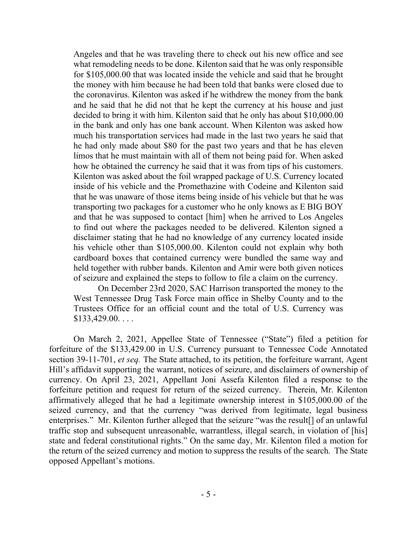Angeles and that he was traveling there to check out his new office and see what remodeling needs to be done. Kilenton said that he was only responsible for \$105,000.00 that was located inside the vehicle and said that he brought the money with him because he had been told that banks were closed due to the coronavirus. Kilenton was asked if he withdrew the money from the bank and he said that he did not that he kept the currency at his house and just decided to bring it with him. Kilenton said that he only has about \$10,000.00 in the bank and only has one bank account. When Kilenton was asked how much his transportation services had made in the last two years he said that he had only made about \$80 for the past two years and that he has eleven limos that he must maintain with all of them not being paid for. When asked how he obtained the currency he said that it was from tips of his customers. Kilenton was asked about the foil wrapped package of U.S. Currency located inside of his vehicle and the Promethazine with Codeine and Kilenton said that he was unaware of those items being inside of his vehicle but that he was transporting two packages for a customer who he only knows as E BIG BOY and that he was supposed to contact [him] when he arrived to Los Angeles to find out where the packages needed to be delivered. Kilenton signed a disclaimer stating that he had no knowledge of any currency located inside his vehicle other than \$105,000.00. Kilenton could not explain why both cardboard boxes that contained currency were bundled the same way and held together with rubber bands. Kilenton and Amir were both given notices of seizure and explained the steps to follow to file a claim on the currency.

On December 23rd 2020, SAC Harrison transported the money to the West Tennessee Drug Task Force main office in Shelby County and to the Trustees Office for an official count and the total of U.S. Currency was  $$133,429.00...$ 

On March 2, 2021, Appellee State of Tennessee ("State") filed a petition for forfeiture of the \$133,429.00 in U.S. Currency pursuant to Tennessee Code Annotated section 39-11-701, *et seq.* The State attached, to its petition, the forfeiture warrant, Agent Hill's affidavit supporting the warrant, notices of seizure, and disclaimers of ownership of currency. On April 23, 2021, Appellant Joni Assefa Kilenton filed a response to the forfeiture petition and request for return of the seized currency. Therein, Mr. Kilenton affirmatively alleged that he had a legitimate ownership interest in \$105,000.00 of the seized currency, and that the currency "was derived from legitimate, legal business enterprises." Mr. Kilenton further alleged that the seizure "was the result[] of an unlawful traffic stop and subsequent unreasonable, warrantless, illegal search, in violation of [his] state and federal constitutional rights." On the same day, Mr. Kilenton filed a motion for the return of the seized currency and motion to suppress the results of the search. The State opposed Appellant's motions.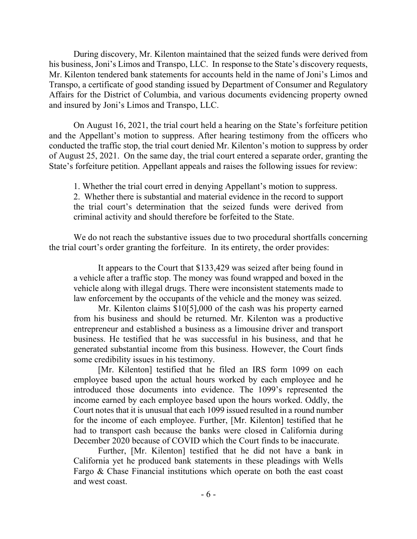During discovery, Mr. Kilenton maintained that the seized funds were derived from his business, Joni's Limos and Transpo, LLC. In response to the State's discovery requests, Mr. Kilenton tendered bank statements for accounts held in the name of Joni's Limos and Transpo, a certificate of good standing issued by Department of Consumer and Regulatory Affairs for the District of Columbia, and various documents evidencing property owned and insured by Joni's Limos and Transpo, LLC.

On August 16, 2021, the trial court held a hearing on the State's forfeiture petition and the Appellant's motion to suppress. After hearing testimony from the officers who conducted the traffic stop, the trial court denied Mr. Kilenton's motion to suppress by order of August 25, 2021. On the same day, the trial court entered a separate order, granting the State's forfeiture petition. Appellant appeals and raises the following issues for review:

1. Whether the trial court erred in denying Appellant's motion to suppress. 2. Whether there is substantial and material evidence in the record to support the trial court's determination that the seized funds were derived from criminal activity and should therefore be forfeited to the State.

We do not reach the substantive issues due to two procedural shortfalls concerning the trial court's order granting the forfeiture. In its entirety, the order provides:

It appears to the Court that \$133,429 was seized after being found in a vehicle after a traffic stop. The money was found wrapped and boxed in the vehicle along with illegal drugs. There were inconsistent statements made to law enforcement by the occupants of the vehicle and the money was seized.

Mr. Kilenton claims \$10[5],000 of the cash was his property earned from his business and should be returned. Mr. Kilenton was a productive entrepreneur and established a business as a limousine driver and transport business. He testified that he was successful in his business, and that he generated substantial income from this business. However, the Court finds some credibility issues in his testimony.

[Mr. Kilenton] testified that he filed an IRS form 1099 on each employee based upon the actual hours worked by each employee and he introduced those documents into evidence. The 1099's represented the income earned by each employee based upon the hours worked. Oddly, the Court notes that it is unusual that each 1099 issued resulted in a round number for the income of each employee. Further, [Mr. Kilenton] testified that he had to transport cash because the banks were closed in California during December 2020 because of COVID which the Court finds to be inaccurate.

Further, [Mr. Kilenton] testified that he did not have a bank in California yet he produced bank statements in these pleadings with Wells Fargo & Chase Financial institutions which operate on both the east coast and west coast.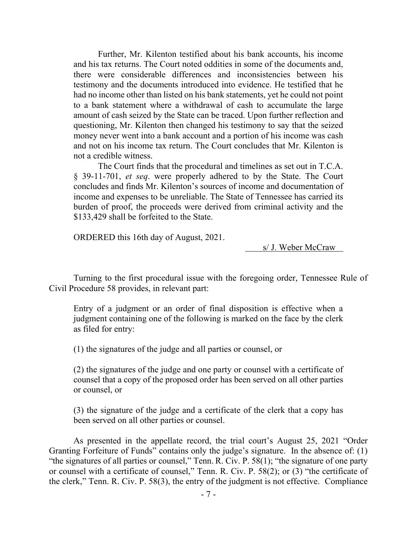Further, Mr. Kilenton testified about his bank accounts, his income and his tax returns. The Court noted oddities in some of the documents and, there were considerable differences and inconsistencies between his testimony and the documents introduced into evidence. He testified that he had no income other than listed on his bank statements, yet he could not point to a bank statement where a withdrawal of cash to accumulate the large amount of cash seized by the State can be traced. Upon further reflection and questioning, Mr. Kilenton then changed his testimony to say that the seized money never went into a bank account and a portion of his income was cash and not on his income tax return. The Court concludes that Mr. Kilenton is not a credible witness.

The Court finds that the procedural and timelines as set out in T.C.A. § 39-11-701, *et seq*. were properly adhered to by the State. The Court concludes and finds Mr. Kilenton's sources of income and documentation of income and expenses to be unreliable. The State of Tennessee has carried its burden of proof, the proceeds were derived from criminal activity and the \$133,429 shall be forfeited to the State.

ORDERED this 16th day of August, 2021.

s/ J. Weber McCraw

Turning to the first procedural issue with the foregoing order, Tennessee Rule of Civil Procedure 58 provides, in relevant part:

Entry of a judgment or an order of final disposition is effective when a judgment containing one of the following is marked on the face by the clerk as filed for entry:

(1) the signatures of the judge and all parties or counsel, or

(2) the signatures of the judge and one party or counsel with a certificate of counsel that a copy of the proposed order has been served on all other parties or counsel, or

(3) the signature of the judge and a certificate of the clerk that a copy has been served on all other parties or counsel.

As presented in the appellate record, the trial court's August 25, 2021 "Order Granting Forfeiture of Funds" contains only the judge's signature. In the absence of: (1) "the signatures of all parties or counsel," Tenn. R. Civ. P. 58(1); "the signature of one party or counsel with a certificate of counsel," Tenn. R. Civ. P. 58(2); or (3) "the certificate of the clerk," Tenn. R. Civ. P. 58(3), the entry of the judgment is not effective. Compliance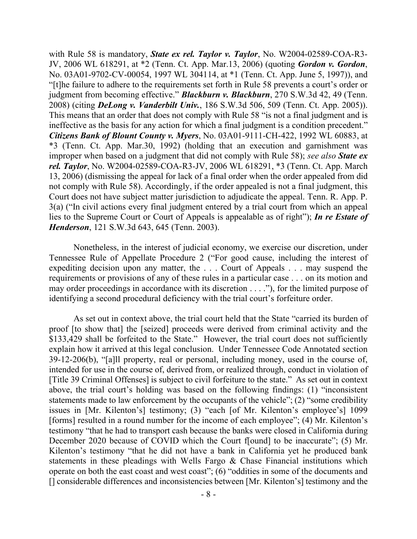with Rule 58 is mandatory, *State ex rel. Taylor v. Taylor*, No. W2004-02589-COA-R3- JV, 2006 WL 618291, at \*2 (Tenn. Ct. App. Mar.13, 2006) (quoting *Gordon v. Gordon*, No. 03A01-9702-CV-00054, 1997 WL 304114, at \*1 (Tenn. Ct. App. June 5, 1997)), and "[t]he failure to adhere to the requirements set forth in Rule 58 prevents a court's order or judgment from becoming effective." *Blackburn v. Blackburn*, 270 S.W.3d 42, 49 (Tenn. 2008) (citing *DeLong v. Vanderbilt Univ.*, 186 S.W.3d 506, 509 (Tenn. Ct. App. 2005)). This means that an order that does not comply with Rule 58 "is not a final judgment and is ineffective as the basis for any action for which a final judgment is a condition precedent." *Citizens Bank of Blount County v. Myers*, No. 03A01-9111-CH-422, 1992 WL 60883, at \*3 (Tenn. Ct. App. Mar.30, 1992) (holding that an execution and garnishment was improper when based on a judgment that did not comply with Rule 58); *see also State ex rel. Taylor*, No. W2004-02589-COA-R3-JV, 2006 WL 618291, \*3 (Tenn. Ct. App. March 13, 2006) (dismissing the appeal for lack of a final order when the order appealed from did not comply with Rule 58). Accordingly, if the order appealed is not a final judgment, this Court does not have subject matter jurisdiction to adjudicate the appeal. Tenn. R. App. P. 3(a) ("In civil actions every final judgment entered by a trial court from which an appeal lies to the Supreme Court or Court of Appeals is appealable as of right"); *In re Estate of Henderson*, 121 S.W.3d 643, 645 (Tenn. 2003).

Nonetheless, in the interest of judicial economy, we exercise our discretion, under Tennessee Rule of Appellate Procedure 2 ("For good cause, including the interest of expediting decision upon any matter, the . . . Court of Appeals . . . may suspend the requirements or provisions of any of these rules in a particular case . . . on its motion and may order proceedings in accordance with its discretion . . . ."), for the limited purpose of identifying a second procedural deficiency with the trial court's forfeiture order.

As set out in context above, the trial court held that the State "carried its burden of proof [to show that] the [seized] proceeds were derived from criminal activity and the \$133,429 shall be forfeited to the State." However, the trial court does not sufficiently explain how it arrived at this legal conclusion. Under Tennessee Code Annotated section 39-12-206(b), "[a]ll property, real or personal, including money, used in the course of, intended for use in the course of, derived from, or realized through, conduct in violation of [Title 39 Criminal Offenses] is subject to civil forfeiture to the state." As set out in context above, the trial court's holding was based on the following findings: (1) "inconsistent statements made to law enforcement by the occupants of the vehicle"; (2) "some credibility issues in [Mr. Kilenton's] testimony; (3) "each [of Mr. Kilenton's employee's] 1099 [forms] resulted in a round number for the income of each employee"; (4) Mr. Kilenton's testimony "that he had to transport cash because the banks were closed in California during December 2020 because of COVID which the Court found to be inaccurate"; (5) Mr. Kilenton's testimony "that he did not have a bank in California yet he produced bank statements in these pleadings with Wells Fargo & Chase Financial institutions which operate on both the east coast and west coast"; (6) "oddities in some of the documents and [] considerable differences and inconsistencies between [Mr. Kilenton's] testimony and the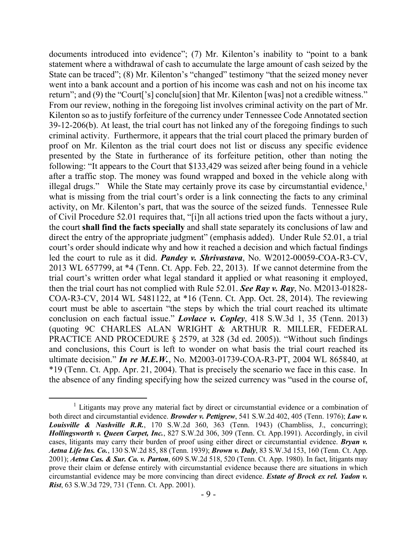documents introduced into evidence"; (7) Mr. Kilenton's inability to "point to a bank statement where a withdrawal of cash to accumulate the large amount of cash seized by the State can be traced"; (8) Mr. Kilenton's "changed" testimony "that the seized money never went into a bank account and a portion of his income was cash and not on his income tax return"; and (9) the "Court['s] conclu[sion] that Mr. Kilenton [was] not a credible witness." From our review, nothing in the foregoing list involves criminal activity on the part of Mr. Kilenton so as to justify forfeiture of the currency under Tennessee Code Annotated section 39-12-206(b). At least, the trial court has not linked any of the foregoing findings to such criminal activity. Furthermore, it appears that the trial court placed the primary burden of proof on Mr. Kilenton as the trial court does not list or discuss any specific evidence presented by the State in furtherance of its forfeiture petition, other than noting the following: "It appears to the Court that \$133,429 was seized after being found in a vehicle after a traffic stop. The money was found wrapped and boxed in the vehicle along with illegal drugs." While the State may certainly prove its case by circumstantial evidence, $<sup>1</sup>$ </sup> what is missing from the trial court's order is a link connecting the facts to any criminal activity, on Mr. Kilenton's part, that was the source of the seized funds. Tennessee Rule of Civil Procedure 52.01 requires that, "[i]n all actions tried upon the facts without a jury, the court **shall find the facts specially** and shall state separately its conclusions of law and direct the entry of the appropriate judgment" (emphasis added). Under Rule 52.01, a trial court's order should indicate why and how it reached a decision and which factual findings led the court to rule as it did. *Pandey v. Shrivastava*, No. W2012-00059-COA-R3-CV, 2013 WL 657799, at \*4 (Tenn. Ct. App. Feb. 22, 2013). If we cannot determine from the trial court's written order what legal standard it applied or what reasoning it employed, then the trial court has not complied with Rule 52.01. *See Ray v. Ray*, No. M2013-01828- COA-R3-CV, 2014 WL 5481122, at \*16 (Tenn. Ct. App. Oct. 28, 2014). The reviewing court must be able to ascertain "the steps by which the trial court reached its ultimate conclusion on each factual issue." *Lovlace v. Copley*, 418 S.W.3d 1, 35 (Tenn. 2013) (quoting 9C CHARLES ALAN WRIGHT & ARTHUR R. MILLER, FEDERAL PRACTICE AND PROCEDURE § 2579, at 328 (3d ed. 2005)). "Without such findings and conclusions, this Court is left to wonder on what basis the trial court reached its ultimate decision." *In re M.E.W.*, No. M2003-01739-COA-R3-PT, 2004 WL 865840, at \*19 (Tenn. Ct. App. Apr. 21, 2004). That is precisely the scenario we face in this case. In the absence of any finding specifying how the seized currency was "used in the course of,

 $\overline{a}$ 

 $<sup>1</sup>$  Litigants may prove any material fact by direct or circumstantial evidence or a combination of</sup> both direct and circumstantial evidence. *Browder v. Pettigrew*, 541 S.W.2d 402, 405 (Tenn. 1976); *Law v. Louisville & Nashville R.R.*, 170 S.W.2d 360, 363 (Tenn. 1943) (Chambliss, J., concurring); *Hollingsworth v. Queen Carpet, Inc.*, 827 S.W.2d 306, 309 (Tenn. Ct. App.1991). Accordingly, in civil cases, litigants may carry their burden of proof using either direct or circumstantial evidence. *Bryan v. Aetna Life Ins. Co.*, 130 S.W.2d 85, 88 (Tenn. 1939); *Brown v. Daly*, 83 S.W.3d 153, 160 (Tenn. Ct. App. 2001); *Aetna Cas. & Sur. Co. v. Parton*, 609 S.W.2d 518, 520 (Tenn. Ct. App. 1980). In fact, litigants may prove their claim or defense entirely with circumstantial evidence because there are situations in which circumstantial evidence may be more convincing than direct evidence. *Estate of Brock ex rel. Yadon v. Rist*, 63 S.W.3d 729, 731 (Tenn. Ct. App. 2001).